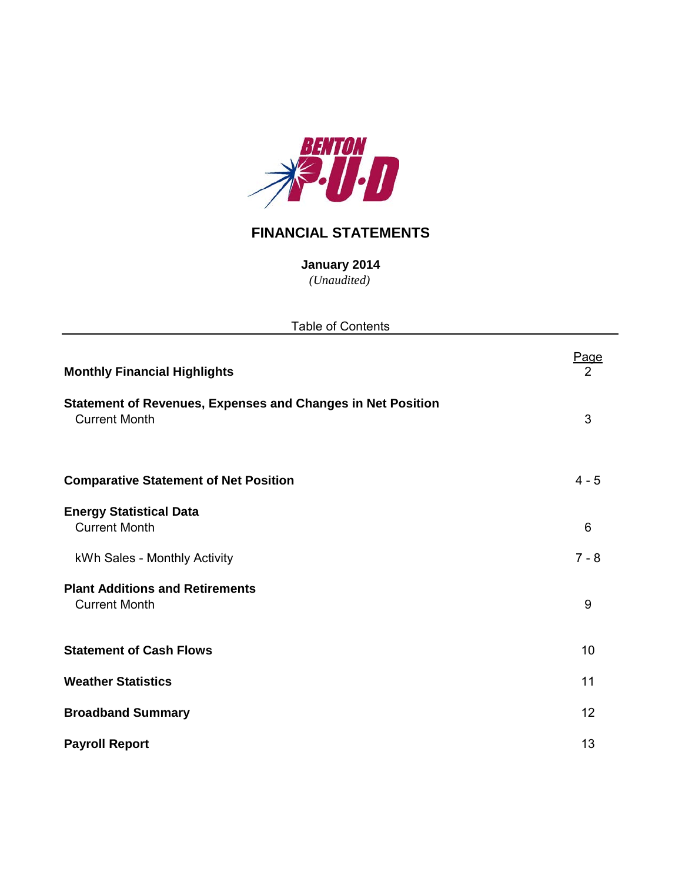

# **FINANCIAL STATEMENTS**

*(Unaudited)* **January 2014**

| <b>Table of Contents</b>                                                                   |           |
|--------------------------------------------------------------------------------------------|-----------|
| <b>Monthly Financial Highlights</b>                                                        | Page<br>2 |
| <b>Statement of Revenues, Expenses and Changes in Net Position</b><br><b>Current Month</b> | 3         |
| <b>Comparative Statement of Net Position</b>                                               | $4 - 5$   |
| <b>Energy Statistical Data</b><br><b>Current Month</b>                                     | 6         |
| kWh Sales - Monthly Activity                                                               | $7 - 8$   |
| <b>Plant Additions and Retirements</b><br><b>Current Month</b>                             | 9         |
| <b>Statement of Cash Flows</b>                                                             | 10        |
| <b>Weather Statistics</b>                                                                  | 11        |
| <b>Broadband Summary</b>                                                                   | 12        |
| <b>Payroll Report</b>                                                                      | 13        |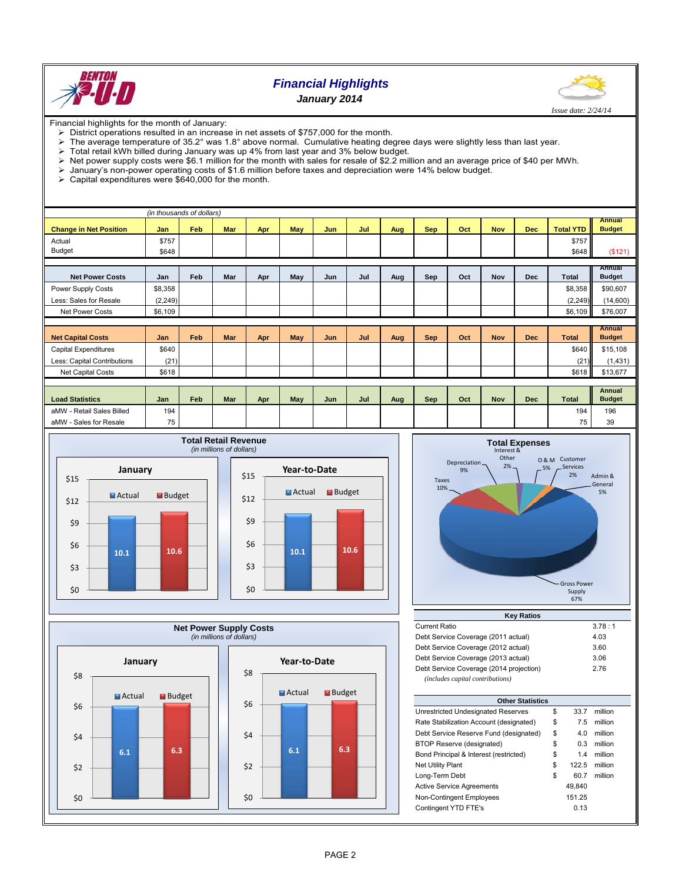

## *Financial Highlights January 2014*



Financial highlights for the month of January:

- District operations resulted in an increase in net assets of \$757,000 for the month.<br>
> The average temperature of 35.2° was 1.8° above normal. Cumulative heating de
- The average temperature of 35.2° was 1.8° above normal. Cumulative heating degree days were slightly less than last year.
- $\triangleright$  Total retail kWh billed during January was up 4% from last year and 3% below budget.
- Net power supply costs were \$6.1 million for the month with sales for resale of \$2.2 million and an average price of \$40 per MWh.<br>> January's non-power operating costs of \$1.6 million before taxes and depreciation were 14
- $\triangleright$  January's non-power operating costs of \$1.6 million before taxes and depreciation were 14% below budget.<br>  $\triangleright$  Capital expenditures were \$640,000 for the month.
- Capital expenditures were \$640,000 for the month.

|                               | (in thousands of dollars) |            |            |     |     |     |     |     |            |     |            |            |                  |                         |
|-------------------------------|---------------------------|------------|------------|-----|-----|-----|-----|-----|------------|-----|------------|------------|------------------|-------------------------|
|                               |                           |            |            |     |     |     |     |     |            |     |            |            |                  | <b>Annual</b>           |
| <b>Change in Net Position</b> | Jan                       | Feb        | <b>Mar</b> | Apr | May | Jun | Jul | Aug | <b>Sep</b> | Oct | <b>Nov</b> | <b>Dec</b> | <b>Total YTD</b> | <b>Budget</b>           |
| Actual                        | \$757                     |            |            |     |     |     |     |     |            |     |            |            | \$757            |                         |
| Budget                        | \$648                     |            |            |     |     |     |     |     |            |     |            |            | \$648            | (\$121)                 |
|                               |                           |            |            |     |     |     |     |     |            |     |            |            |                  |                         |
| <b>Net Power Costs</b>        | Jan                       | <b>Feb</b> | Mar        | Apr | May | Jun | Jul | Aug | Sep        | Oct | <b>Nov</b> | <b>Dec</b> | Total            | Annual<br><b>Budget</b> |
| Power Supply Costs            | \$8,358                   |            |            |     |     |     |     |     |            |     |            |            | \$8,358          | \$90,607                |
| Less: Sales for Resale        | (2,249)                   |            |            |     |     |     |     |     |            |     |            |            | (2, 249)         | (14,600)                |
| <b>Net Power Costs</b>        | \$6,109                   |            |            |     |     |     |     |     |            |     |            |            | \$6,109          | \$76,007                |
|                               |                           |            |            |     |     |     |     |     |            |     |            |            |                  |                         |
|                               |                           |            |            |     |     |     |     |     |            |     |            |            |                  | <b>Annual</b>           |
| <b>Net Capital Costs</b>      | Jan                       | Feb        | <b>Mar</b> | Apr | May | Jun | Jul | Aug | <b>Sep</b> | Oct | <b>Nov</b> | <b>Dec</b> | <b>Total</b>     | <b>Budget</b>           |
| <b>Capital Expenditures</b>   | \$640                     |            |            |     |     |     |     |     |            |     |            |            | \$640            | \$15,108                |
| Less: Capital Contributions   | (21)                      |            |            |     |     |     |     |     |            |     |            |            | (21)             | (1,431)                 |
| <b>Net Capital Costs</b>      | \$618                     |            |            |     |     |     |     |     |            |     |            |            | \$618            | \$13,677                |
|                               |                           |            |            |     |     |     |     |     |            |     |            |            |                  |                         |
|                               |                           |            |            |     |     |     |     |     |            |     |            |            |                  | <b>Annual</b>           |
| <b>Load Statistics</b>        | Jan                       | Feb        | Mar        | Apr | May | Jun | Jul | Aug | Sep        | Oct | <b>Nov</b> | <b>Dec</b> | <b>Total</b>     | <b>Budget</b>           |
| aMW - Retail Sales Billed     | 194                       |            |            |     |     |     |     |     |            |     |            |            | 194              | 196                     |
| aMW - Sales for Resale        | 75                        |            |            |     |     |     |     |     |            |     |            |            | 75               | 39                      |







| <b>Current Ratio</b>                    | 3.78:1 |
|-----------------------------------------|--------|
| Debt Service Coverage (2011 actual)     | 4.03   |
| Debt Service Coverage (2012 actual)     | 3.60   |
| Debt Service Coverage (2013 actual)     | 3.06   |
| Debt Service Coverage (2014 projection) | 2.76   |
| (includes capital contributions)        |        |

| <b>Other Statistics</b>                 |    |        |         |  |  |  |  |  |
|-----------------------------------------|----|--------|---------|--|--|--|--|--|
| Unrestricted Undesignated Reserves      | \$ | 33.7   | million |  |  |  |  |  |
| Rate Stabilization Account (designated) | \$ | 7.5    | million |  |  |  |  |  |
| Debt Service Reserve Fund (designated)  | \$ | 4.0    | million |  |  |  |  |  |
| BTOP Reserve (designated)               | \$ | 0.3    | million |  |  |  |  |  |
| Bond Principal & Interest (restricted)  | \$ | 1.4    | million |  |  |  |  |  |
| <b>Net Utility Plant</b>                | \$ | 122.5  | million |  |  |  |  |  |
| Long-Term Debt                          | \$ | 60.7   | million |  |  |  |  |  |
| <b>Active Service Agreements</b>        |    | 49.840 |         |  |  |  |  |  |
| Non-Contingent Employees                |    | 151.25 |         |  |  |  |  |  |
| Contingent YTD FTE's                    |    | 0.13   |         |  |  |  |  |  |
|                                         |    |        |         |  |  |  |  |  |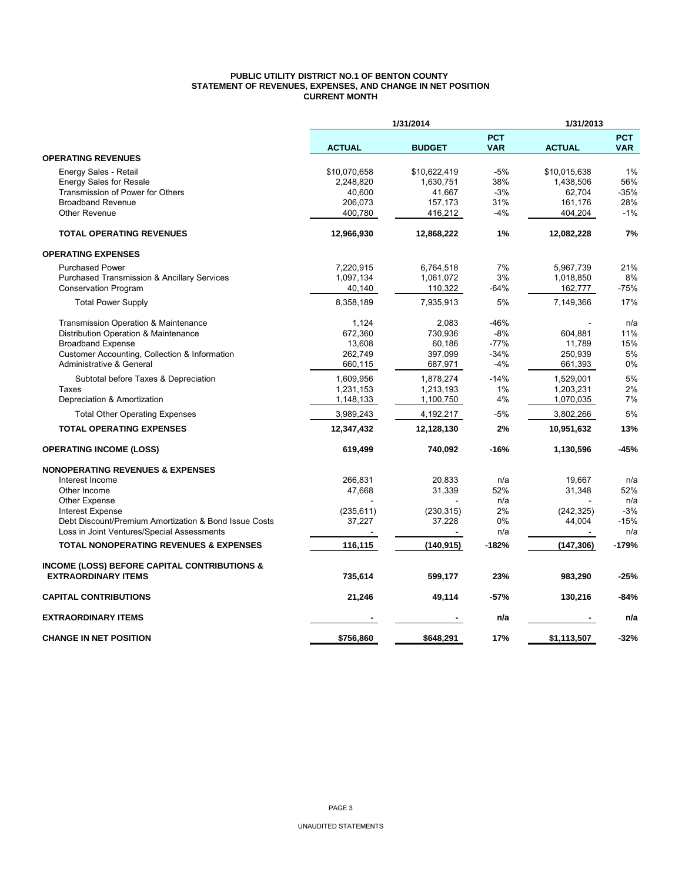## **PUBLIC UTILITY DISTRICT NO.1 OF BENTON COUNTY STATEMENT OF REVENUES, EXPENSES, AND CHANGE IN NET POSITION CURRENT MONTH**

|                                                                                  |               | 1/31/2014     |                          | 1/31/2013            |                          |  |
|----------------------------------------------------------------------------------|---------------|---------------|--------------------------|----------------------|--------------------------|--|
|                                                                                  | <b>ACTUAL</b> | <b>BUDGET</b> | <b>PCT</b><br><b>VAR</b> | <b>ACTUAL</b>        | <b>PCT</b><br><b>VAR</b> |  |
| <b>OPERATING REVENUES</b>                                                        |               |               |                          |                      |                          |  |
| Energy Sales - Retail                                                            | \$10,070,658  | \$10,622,419  | $-5%$                    | \$10,015,638         | 1%                       |  |
| <b>Energy Sales for Resale</b>                                                   | 2,248,820     | 1,630,751     | 38%                      | 1,438,506            | 56%                      |  |
| Transmission of Power for Others                                                 | 40,600        | 41,667        | $-3%$                    | 62,704               | $-35%$                   |  |
| <b>Broadband Revenue</b>                                                         | 206,073       | 157,173       | 31%                      | 161,176              | 28%                      |  |
| <b>Other Revenue</b>                                                             | 400,780       | 416,212       | $-4%$                    | 404,204              | $-1%$                    |  |
| <b>TOTAL OPERATING REVENUES</b>                                                  | 12,966,930    | 12,868,222    | 1%                       | 12,082,228           | 7%                       |  |
| <b>OPERATING EXPENSES</b>                                                        |               |               |                          |                      |                          |  |
| <b>Purchased Power</b>                                                           | 7,220,915     | 6,764,518     | 7%                       | 5,967,739            | 21%                      |  |
| <b>Purchased Transmission &amp; Ancillary Services</b>                           | 1,097,134     | 1,061,072     | 3%                       | 1,018,850            | 8%                       |  |
| <b>Conservation Program</b>                                                      | 40,140        | 110,322       | $-64%$                   | 162,777              | $-75%$                   |  |
| <b>Total Power Supply</b>                                                        | 8,358,189     | 7,935,913     | 5%                       | 7,149,366            | 17%                      |  |
| Transmission Operation & Maintenance                                             | 1,124         | 2,083         | -46%                     |                      | n/a                      |  |
| Distribution Operation & Maintenance                                             | 672,360       | 730,936       | $-8%$                    | 604,881              | 11%                      |  |
| <b>Broadband Expense</b>                                                         | 13,608        | 60,186        | $-77%$                   | 11,789               | 15%                      |  |
| Customer Accounting, Collection & Information                                    | 262,749       | 397,099       | $-34%$                   | 250,939              | 5%                       |  |
| <b>Administrative &amp; General</b>                                              | 660,115       | 687,971       | $-4%$                    | 661,393              | 0%                       |  |
| Subtotal before Taxes & Depreciation                                             | 1,609,956     | 1,878,274     | $-14%$                   | 1,529,001            | 5%                       |  |
| Taxes                                                                            | 1,231,153     | 1,213,193     | 1%                       | 1,203,231            | 2%                       |  |
| Depreciation & Amortization                                                      | 1,148,133     | 1,100,750     | 4%                       | 1,070,035            | 7%                       |  |
| <b>Total Other Operating Expenses</b>                                            | 3,989,243     | 4,192,217     | $-5%$                    | 3,802,266            | 5%                       |  |
| <b>TOTAL OPERATING EXPENSES</b>                                                  | 12,347,432    | 12,128,130    | 2%                       | 10,951,632           | 13%                      |  |
| <b>OPERATING INCOME (LOSS)</b>                                                   | 619,499       | 740,092       | -16%                     | 1,130,596            | $-45%$                   |  |
| <b>NONOPERATING REVENUES &amp; EXPENSES</b>                                      |               |               |                          |                      |                          |  |
| Interest Income                                                                  | 266,831       | 20,833        | n/a                      | 19,667               | n/a                      |  |
| Other Income                                                                     | 47,668        | 31,339        | 52%                      | 31,348               | 52%                      |  |
| Other Expense                                                                    |               |               | n/a                      |                      | n/a                      |  |
| <b>Interest Expense</b><br>Debt Discount/Premium Amortization & Bond Issue Costs | (235, 611)    | (230, 315)    | 2%<br>0%                 | (242, 325)<br>44,004 | $-3%$<br>$-15%$          |  |
| Loss in Joint Ventures/Special Assessments                                       | 37,227        | 37,228        | n/a                      |                      | n/a                      |  |
| <b>TOTAL NONOPERATING REVENUES &amp; EXPENSES</b>                                | 116,115       | (140, 915)    | $-182%$                  | (147, 306)           | $-179%$                  |  |
|                                                                                  |               |               |                          |                      |                          |  |
| <b>INCOME (LOSS) BEFORE CAPITAL CONTRIBUTIONS &amp;</b>                          |               |               |                          |                      |                          |  |
| <b>EXTRAORDINARY ITEMS</b>                                                       | 735,614       | 599,177       | 23%                      | 983,290              | $-25%$                   |  |
| <b>CAPITAL CONTRIBUTIONS</b>                                                     | 21,246        | 49,114        | -57%                     | 130,216              | $-84%$                   |  |
| <b>EXTRAORDINARY ITEMS</b>                                                       |               |               | n/a                      |                      | n/a                      |  |
| <b>CHANGE IN NET POSITION</b>                                                    | \$756,860     | \$648,291     | 17%                      | \$1,113,507          | $-32%$                   |  |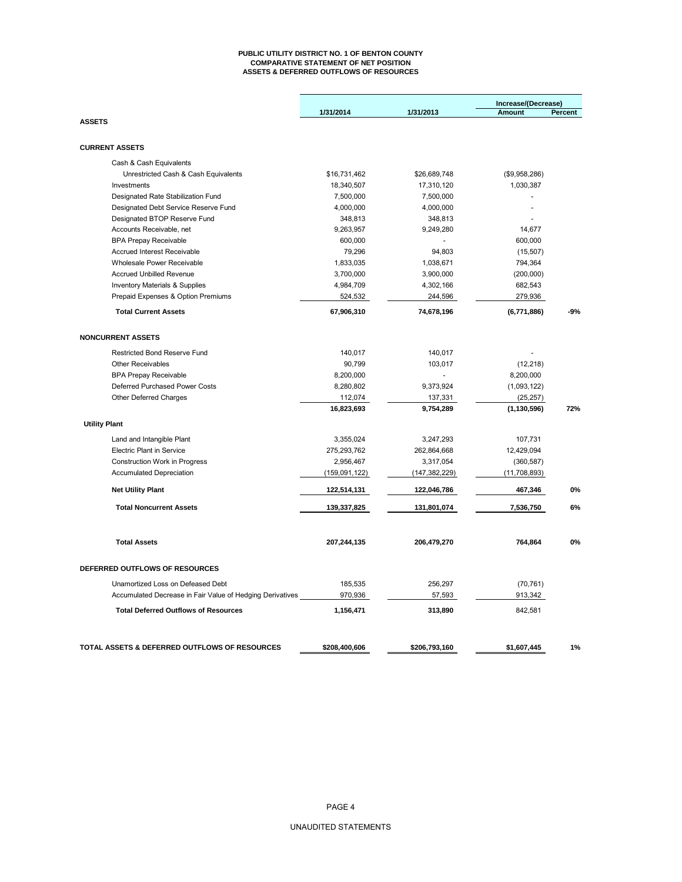#### **PUBLIC UTILITY DISTRICT NO. 1 OF BENTON COUNTY COMPARATIVE STATEMENT OF NET POSITION ASSETS & DEFERRED OUTFLOWS OF RESOURCES**

|                                                           | 1/31/2014     | 1/31/2013       | Increase/(Decrease)<br><b>Amount</b> | Percent |  |  |
|-----------------------------------------------------------|---------------|-----------------|--------------------------------------|---------|--|--|
| <b>ASSETS</b>                                             |               |                 |                                      |         |  |  |
| <b>CURRENT ASSETS</b>                                     |               |                 |                                      |         |  |  |
| Cash & Cash Equivalents                                   |               |                 |                                      |         |  |  |
| Unrestricted Cash & Cash Equivalents                      | \$16,731,462  | \$26,689,748    | (\$9,958,286)                        |         |  |  |
| Investments                                               | 18,340,507    | 17,310,120      | 1,030,387                            |         |  |  |
| Designated Rate Stabilization Fund                        | 7,500,000     | 7,500,000       |                                      |         |  |  |
| Designated Debt Service Reserve Fund                      | 4,000,000     | 4,000,000       |                                      |         |  |  |
| Designated BTOP Reserve Fund                              | 348,813       | 348,813         |                                      |         |  |  |
| Accounts Receivable, net                                  | 9,263,957     | 9,249,280       | 14,677                               |         |  |  |
| <b>BPA Prepay Receivable</b>                              | 600,000       |                 | 600,000                              |         |  |  |
| Accrued Interest Receivable                               | 79,296        | 94,803          | (15, 507)                            |         |  |  |
| Wholesale Power Receivable                                | 1,833,035     | 1,038,671       | 794,364                              |         |  |  |
| <b>Accrued Unbilled Revenue</b>                           | 3,700,000     | 3,900,000       | (200,000)                            |         |  |  |
| <b>Inventory Materials &amp; Supplies</b>                 | 4,984,709     | 4,302,166       | 682,543                              |         |  |  |
| Prepaid Expenses & Option Premiums                        | 524,532       | 244,596         | 279,936                              |         |  |  |
| <b>Total Current Assets</b>                               | 67,906,310    | 74,678,196      | (6,771,886)                          | $-9%$   |  |  |
| <b>NONCURRENT ASSETS</b>                                  |               |                 |                                      |         |  |  |
| Restricted Bond Reserve Fund                              | 140,017       | 140,017         |                                      |         |  |  |
| <b>Other Receivables</b>                                  | 90,799        | 103,017         | (12, 218)                            |         |  |  |
| <b>BPA Prepay Receivable</b>                              | 8,200,000     |                 | 8,200,000                            |         |  |  |
| Deferred Purchased Power Costs                            | 8,280,802     | 9,373,924       | (1,093,122)                          |         |  |  |
| Other Deferred Charges                                    | 112,074       | 137,331         | (25, 257)                            |         |  |  |
|                                                           | 16,823,693    | 9,754,289       | (1, 130, 596)                        | 72%     |  |  |
| <b>Utility Plant</b>                                      |               |                 |                                      |         |  |  |
| Land and Intangible Plant                                 | 3,355,024     | 3,247,293       | 107,731                              |         |  |  |
| <b>Electric Plant in Service</b>                          | 275,293,762   | 262,864,668     | 12,429,094                           |         |  |  |
| <b>Construction Work in Progress</b>                      | 2,956,467     | 3,317,054       | (360, 587)                           |         |  |  |
| <b>Accumulated Depreciation</b>                           | (159,091,122) | (147, 382, 229) | (11, 708, 893)                       |         |  |  |
| <b>Net Utility Plant</b>                                  | 122,514,131   | 122,046,786     | 467,346                              | 0%      |  |  |
| <b>Total Noncurrent Assets</b>                            | 139,337,825   | 131,801,074     | 7,536,750                            | 6%      |  |  |
| <b>Total Assets</b>                                       | 207,244,135   | 206,479,270     | 764,864                              | 0%      |  |  |
|                                                           |               |                 |                                      |         |  |  |
| DEFERRED OUTFLOWS OF RESOURCES                            |               |                 |                                      |         |  |  |
| Unamortized Loss on Defeased Debt                         | 185,535       | 256,297         | (70, 761)                            |         |  |  |
| Accumulated Decrease in Fair Value of Hedging Derivatives | 970,936       | 57,593          | 913,342                              |         |  |  |
| <b>Total Deferred Outflows of Resources</b>               | 1,156,471     | 313,890         | 842,581                              |         |  |  |
|                                                           |               |                 |                                      |         |  |  |
| TOTAL ASSETS & DEFERRED OUTFLOWS OF RESOURCES             | \$208,400,606 | \$206,793,160   | \$1,607,445                          | 1%      |  |  |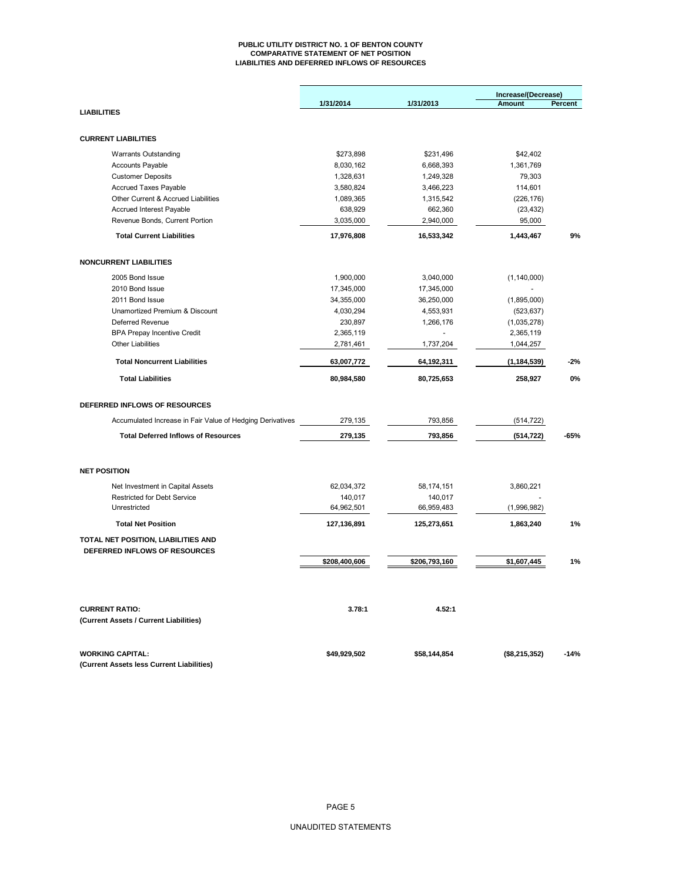#### **PUBLIC UTILITY DISTRICT NO. 1 OF BENTON COUNTY COMPARATIVE STATEMENT OF NET POSITION LIABILITIES AND DEFERRED INFLOWS OF RESOURCES**

|                                                                   |               |               | Increase/(Decrease) |         |
|-------------------------------------------------------------------|---------------|---------------|---------------------|---------|
|                                                                   | 1/31/2014     | 1/31/2013     | Amount              | Percent |
| <b>LIABILITIES</b>                                                |               |               |                     |         |
| <b>CURRENT LIABILITIES</b>                                        |               |               |                     |         |
|                                                                   |               |               |                     |         |
| <b>Warrants Outstanding</b>                                       | \$273,898     | \$231,496     | \$42,402            |         |
| <b>Accounts Payable</b>                                           | 8,030,162     | 6,668,393     | 1,361,769           |         |
| <b>Customer Deposits</b>                                          | 1,328,631     | 1,249,328     | 79,303              |         |
| <b>Accrued Taxes Payable</b>                                      | 3,580,824     | 3,466,223     | 114,601             |         |
| Other Current & Accrued Liabilities                               | 1,089,365     | 1,315,542     | (226, 176)          |         |
| <b>Accrued Interest Payable</b><br>Revenue Bonds, Current Portion | 638,929       | 662,360       | (23, 432)           |         |
|                                                                   | 3,035,000     | 2,940,000     | 95,000              |         |
| <b>Total Current Liabilities</b>                                  | 17,976,808    | 16,533,342    | 1,443,467           | 9%      |
| <b>NONCURRENT LIABILITIES</b>                                     |               |               |                     |         |
| 2005 Bond Issue                                                   | 1,900,000     | 3,040,000     | (1, 140, 000)       |         |
| 2010 Bond Issue                                                   | 17,345,000    | 17,345,000    |                     |         |
| 2011 Bond Issue                                                   | 34,355,000    | 36,250,000    | (1,895,000)         |         |
| Unamortized Premium & Discount                                    | 4,030,294     | 4,553,931     | (523, 637)          |         |
| Deferred Revenue                                                  | 230,897       | 1,266,176     | (1,035,278)         |         |
| <b>BPA Prepay Incentive Credit</b>                                | 2,365,119     |               | 2,365,119           |         |
| <b>Other Liabilities</b>                                          | 2,781,461     | 1,737,204     | 1,044,257           |         |
| <b>Total Noncurrent Liabilities</b>                               | 63,007,772    | 64,192,311    | (1, 184, 539)       | $-2%$   |
| <b>Total Liabilities</b>                                          | 80,984,580    | 80,725,653    | 258,927             | 0%      |
| DEFERRED INFLOWS OF RESOURCES                                     |               |               |                     |         |
|                                                                   |               |               |                     |         |
| Accumulated Increase in Fair Value of Hedging Derivatives         | 279,135       | 793,856       | (514, 722)          |         |
| <b>Total Deferred Inflows of Resources</b>                        | 279,135       | 793,856       | (514, 722)          | $-65%$  |
| <b>NET POSITION</b>                                               |               |               |                     |         |
| Net Investment in Capital Assets                                  | 62,034,372    | 58,174,151    | 3,860,221           |         |
| <b>Restricted for Debt Service</b>                                | 140,017       | 140,017       |                     |         |
| Unrestricted                                                      | 64,962,501    | 66,959,483    | (1,996,982)         |         |
| <b>Total Net Position</b>                                         | 127,136,891   | 125,273,651   | 1,863,240           | 1%      |
| TOTAL NET POSITION, LIABILITIES AND                               |               |               |                     |         |
| DEFERRED INFLOWS OF RESOURCES                                     |               |               |                     |         |
|                                                                   | \$208,400,606 | \$206,793,160 | \$1,607,445         | 1%      |
|                                                                   |               |               |                     |         |
| <b>CURRENT RATIO:</b>                                             | 3.78:1        | 4.52:1        |                     |         |
| (Current Assets / Current Liabilities)                            |               |               |                     |         |
| <b>WORKING CAPITAL:</b>                                           | \$49,929,502  | \$58,144,854  | (\$8,215,352)       | $-14%$  |
| (Current Assets less Current Liabilities)                         |               |               |                     |         |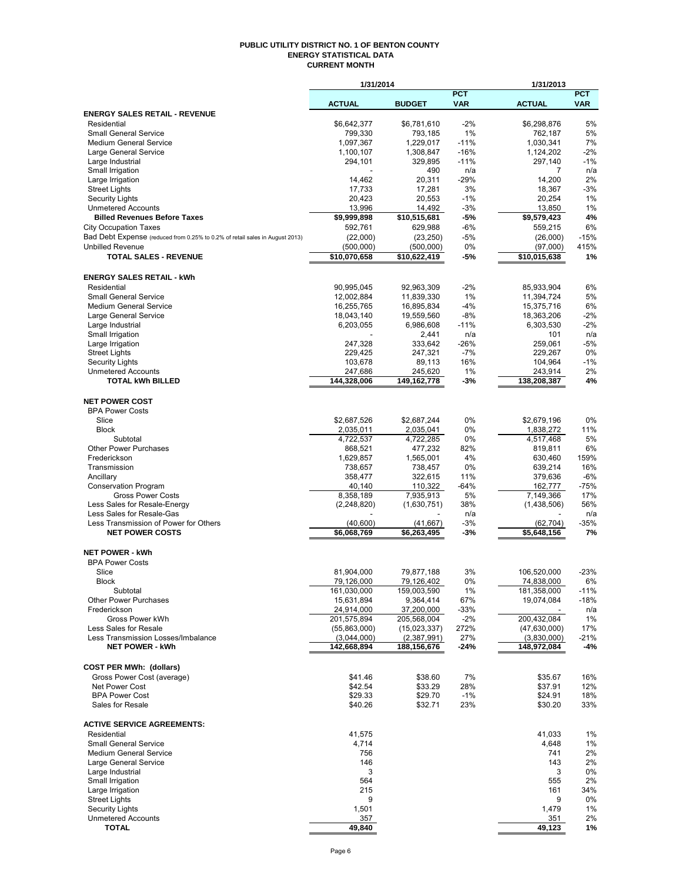#### **PUBLIC UTILITY DISTRICT NO. 1 OF BENTON COUNTY ENERGY STATISTICAL DATA CURRENT MONTH**

|                                                                              | 1/31/2014                  |                            |                | 1/31/2013                  |             |
|------------------------------------------------------------------------------|----------------------------|----------------------------|----------------|----------------------------|-------------|
|                                                                              |                            |                            | <b>PCT</b>     |                            | <b>PCT</b>  |
| <b>ENERGY SALES RETAIL - REVENUE</b>                                         | <b>ACTUAL</b>              | <b>BUDGET</b>              | <b>VAR</b>     | <b>ACTUAL</b>              | <b>VAR</b>  |
| Residential                                                                  | \$6,642,377                | \$6,781,610                | $-2%$          | \$6,298,876                | 5%          |
| <b>Small General Service</b>                                                 | 799,330                    | 793,185                    | 1%             | 762,187                    | 5%          |
| <b>Medium General Service</b>                                                | 1,097,367                  | 1,229,017                  | $-11%$         | 1,030,341                  | 7%          |
| Large General Service                                                        | 1,100,107                  | 1,308,847                  | $-16%$         | 1,124,202                  | $-2%$       |
| Large Industrial                                                             | 294,101                    | 329,895                    | $-11%$         | 297,140                    | $-1%$       |
| Small Irrigation                                                             |                            | 490                        | n/a            | 7                          | n/a         |
| Large Irrigation                                                             | 14,462                     | 20,311                     | $-29%$         | 14,200                     | 2%          |
| <b>Street Lights</b>                                                         | 17,733                     | 17,281                     | 3%             | 18,367                     | $-3%$       |
| Security Lights<br><b>Unmetered Accounts</b>                                 | 20,423<br>13,996           | 20,553<br>14,492           | $-1%$<br>$-3%$ | 20,254<br>13,850           | 1%<br>1%    |
| <b>Billed Revenues Before Taxes</b>                                          | \$9,999,898                | \$10,515,681               | -5%            | \$9,579,423                | 4%          |
| <b>City Occupation Taxes</b>                                                 | 592,761                    | 629,988                    | -6%            | 559,215                    | 6%          |
| Bad Debt Expense (reduced from 0.25% to 0.2% of retail sales in August 2013) | (22,000)                   | (23, 250)                  | $-5%$          | (26,000)                   | $-15%$      |
| <b>Unbilled Revenue</b>                                                      | (500,000)                  | (500,000)                  | 0%             | (97,000)                   | 415%        |
| <b>TOTAL SALES - REVENUE</b>                                                 | \$10,070,658               | \$10,622,419               | -5%            | \$10,015,638               | 1%          |
|                                                                              |                            |                            |                |                            |             |
| <b>ENERGY SALES RETAIL - kWh</b>                                             |                            |                            |                |                            |             |
| Residential                                                                  | 90,995,045                 | 92,963,309                 | $-2%$          | 85,933,904                 | 6%          |
| <b>Small General Service</b>                                                 | 12,002,884                 | 11,839,330                 | 1%             | 11,394,724                 | 5%          |
| <b>Medium General Service</b>                                                | 16,255,765                 | 16,895,834                 | $-4%$          | 15,375,716                 | 6%          |
| Large General Service                                                        | 18,043,140                 | 19,559,560                 | $-8%$          | 18,363,206                 | $-2%$       |
| Large Industrial                                                             | 6,203,055                  | 6,986,608                  | $-11%$         | 6,303,530                  | $-2%$       |
| Small Irrigation                                                             |                            | 2,441                      | n/a            | 101                        | n/a         |
| Large Irrigation                                                             | 247,328                    | 333,642                    | $-26%$         | 259,061                    | $-5%$       |
| <b>Street Lights</b>                                                         | 229,425                    | 247,321                    | $-7%$          | 229,267                    | 0%          |
| Security Lights                                                              | 103,678                    | 89,113                     | 16%            | 104,964                    | $-1%$       |
| <b>Unmetered Accounts</b><br><b>TOTAL kWh BILLED</b>                         | 247,686<br>144,328,006     | 245,620<br>149,162,778     | 1%<br>$-3%$    | 243,914<br>138,208,387     | 2%<br>4%    |
|                                                                              |                            |                            |                |                            |             |
| <b>NET POWER COST</b>                                                        |                            |                            |                |                            |             |
| <b>BPA Power Costs</b>                                                       |                            |                            |                |                            |             |
| Slice                                                                        | \$2,687,526                | \$2,687,244                | 0%             | \$2,679,196                | 0%          |
| <b>Block</b>                                                                 | 2,035,011                  | 2,035,041                  | 0%             | 1,838,272                  | 11%         |
| Subtotal                                                                     | 4,722,537                  | 4,722,285                  | 0%             | 4,517,468                  | 5%          |
| <b>Other Power Purchases</b>                                                 | 868,521                    | 477,232                    | 82%            | 819,811                    | 6%          |
| Frederickson                                                                 | 1,629,857                  | 1,565,001                  | 4%             | 630,460                    | 159%        |
| Transmission                                                                 | 738,657                    | 738,457                    | 0%             | 639,214                    | 16%         |
| Ancillary                                                                    | 358,477                    | 322,615                    | 11%            | 379,636                    | $-6%$       |
| <b>Conservation Program</b>                                                  | 40,140                     | 110,322                    | $-64%$         | 162,777                    | $-75%$      |
| <b>Gross Power Costs</b>                                                     | 8,358,189                  | 7,935,913                  | 5%             | 7,149,366                  | 17%         |
| Less Sales for Resale-Energy                                                 | (2,248,820)                | (1,630,751)                | 38%            | (1,438,506)                | 56%         |
| Less Sales for Resale-Gas                                                    |                            |                            | n/a            |                            | n/a         |
| Less Transmission of Power for Others<br><b>NET POWER COSTS</b>              | (40, 600)<br>\$6,068,769   | (41, 667)<br>\$6,263,495   | -3%<br>-3%     | (62, 704)<br>\$5,648,156   | -35%<br>7%  |
|                                                                              |                            |                            |                |                            |             |
| <b>NET POWER - kWh</b>                                                       |                            |                            |                |                            |             |
| <b>BPA Power Costs</b>                                                       |                            |                            |                |                            |             |
| Slice                                                                        | 81,904,000                 | 79,877,188                 | 3%             | 106,520,000                | $-23%$      |
| <b>Block</b>                                                                 | 79,126,000                 | 79,126,402                 | 0%             | 74,838,000                 | 6%          |
| Subtotal                                                                     | 161,030,000                | 159,003,590                | 1%             | 181,358,000                | $-11%$      |
| <b>Other Power Purchases</b>                                                 | 15,631,894                 | 9,364,414                  | 67%            | 19,074,084                 | $-18%$      |
| Frederickson                                                                 | 24,914,000                 | 37,200,000                 | -33%           |                            | n/a         |
| Gross Power kWh                                                              | 201,575,894                | 205,568,004                | $-2%$          | 200,432,084                | 1%          |
| Less Sales for Resale                                                        | (55,863,000)               | (15,023,337)               | 272%           | (47, 630, 000)             | 17%         |
| Less Transmission Losses/Imbalance<br><b>NET POWER - kWh</b>                 | (3.044.000)<br>142,668,894 | (2,387,991)<br>188,156,676 | 27%<br>-24%    | (3,830,000)<br>148,972,084 | -21%<br>-4% |
|                                                                              |                            |                            |                |                            |             |
| <b>COST PER MWh: (dollars)</b>                                               |                            |                            |                |                            |             |
| Gross Power Cost (average)                                                   | \$41.46                    | \$38.60                    | 7%             | \$35.67                    | 16%         |
| Net Power Cost                                                               | \$42.54                    | \$33.29                    | 28%            | \$37.91                    | 12%         |
| <b>BPA Power Cost</b>                                                        | \$29.33                    | \$29.70                    | $-1%$          | \$24.91                    | 18%         |
| Sales for Resale                                                             | \$40.26                    | \$32.71                    | 23%            | \$30.20                    | 33%         |
|                                                                              |                            |                            |                |                            |             |
| <b>ACTIVE SERVICE AGREEMENTS:</b>                                            |                            |                            |                |                            |             |
| Residential                                                                  | 41,575                     |                            |                | 41,033                     | 1%          |
| <b>Small General Service</b>                                                 | 4,714                      |                            |                | 4,648                      | 1%          |
| <b>Medium General Service</b>                                                | 756                        |                            |                | 741                        | 2%          |
| Large General Service                                                        | 146                        |                            |                | 143                        | 2%          |
| Large Industrial                                                             | 3                          |                            |                | 3                          | 0%          |
| Small Irrigation                                                             | 564                        |                            |                | 555                        | 2%          |
| Large Irrigation<br><b>Street Lights</b>                                     | 215<br>9                   |                            |                | 161<br>9                   | 34%<br>0%   |
| <b>Security Lights</b>                                                       | 1,501                      |                            |                | 1,479                      | 1%          |
| <b>Unmetered Accounts</b>                                                    | 357                        |                            |                | 351                        | 2%          |
| <b>TOTAL</b>                                                                 | 49,840                     |                            |                | 49,123                     | 1%          |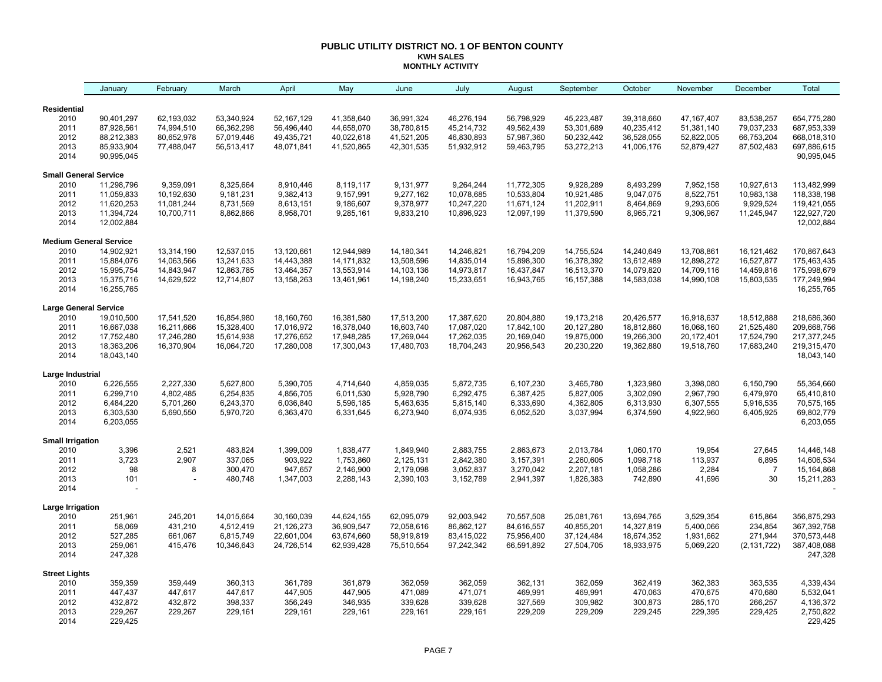## **PUBLIC UTILITY DISTRICT NO. 1 OF BENTON COUNTY KWH SALES MONTHLY ACTIVITY**

|                                       | January                  | February           | March              | April              | May                | June               | July               | August             | September          | October            | November           | December           | Total                     |
|---------------------------------------|--------------------------|--------------------|--------------------|--------------------|--------------------|--------------------|--------------------|--------------------|--------------------|--------------------|--------------------|--------------------|---------------------------|
| <b>Residential</b>                    |                          |                    |                    |                    |                    |                    |                    |                    |                    |                    |                    |                    |                           |
| 2010                                  | 90,401,297               | 62,193,032         | 53,340,924         | 52,167,129         | 41,358,640         | 36,991,324         | 46,276,194         | 56,798,929         | 45,223,487         | 39,318,660         | 47, 167, 407       | 83,538,257         | 654,775,280               |
| 2011                                  | 87,928,561               | 74,994,510         | 66,362,298         | 56,496,440         | 44,658,070         | 38,780,815         | 45,214,732         | 49,562,439         | 53,301,689         | 40,235,412         | 51,381,140         | 79,037,233         | 687,953,339               |
| 2012                                  | 88,212,383               | 80,652,978         | 57,019,446         | 49,435,721         | 40,022,618         | 41,521,205         | 46,830,893         | 57,987,360         | 50,232,442         | 36,528,055         | 52,822,005         | 66,753,204         | 668,018,310               |
| 2013                                  | 85,933,904               | 77,488,047         | 56,513,417         | 48,071,841         | 41,520,865         | 42,301,535         | 51,932,912         | 59,463,795         | 53,272,213         | 41,006,176         | 52,879,427         | 87,502,483         | 697,886,615               |
| 2014                                  | 90,995,045               |                    |                    |                    |                    |                    |                    |                    |                    |                    |                    |                    | 90,995,045                |
| <b>Small General Service</b>          |                          |                    |                    |                    |                    |                    |                    |                    |                    |                    |                    |                    |                           |
| 2010                                  | 11,298,796               | 9,359,091          | 8,325,664          | 8,910,446          | 8,119,117          | 9,131,977          | 9,264,244          | 11,772,305         | 9,928,289          | 8,493,299          | 7,952,158          | 10,927,613         | 113,482,999               |
| 2011                                  | 11,059,833               | 10,192,630         | 9,181,231          | 9,382,413          | 9,157,991          | 9,277,162          | 10,078,685         | 10,533,804         | 10,921,485         | 9,047,075          | 8,522,751          | 10,983,138         | 118,338,198               |
| 2012                                  | 11,620,253               | 11,081,244         | 8,731,569          | 8,613,151          | 9,186,607          | 9,378,977          | 10,247,220         | 11,671,124         | 11,202,911         | 8,464,869          | 9,293,606          | 9,929,524          | 119,421,055               |
| 2013<br>2014                          | 11,394,724<br>12,002,884 | 10,700,711         | 8,862,866          | 8,958,701          | 9,285,161          | 9,833,210          | 10,896,923         | 12,097,199         | 11,379,590         | 8,965,721          | 9,306,967          | 11,245,947         | 122,927,720<br>12,002,884 |
|                                       |                          |                    |                    |                    |                    |                    |                    |                    |                    |                    |                    |                    |                           |
| <b>Medium General Service</b><br>2010 | 14,902,921               | 13,314,190         | 12,537,015         | 13,120,661         | 12,944,989         | 14,180,341         | 14,246,821         | 16,794,209         | 14,755,524         | 14,240,649         | 13,708,861         | 16,121,462         | 170,867,643               |
| 2011                                  | 15,884,076               | 14,063,566         | 13,241,633         | 14,443,388         | 14,171,832         | 13,508,596         | 14,835,014         | 15,898,300         | 16,378,392         | 13,612,489         | 12,898,272         | 16,527,877         | 175,463,435               |
| 2012                                  | 15,995,754               | 14,843,947         | 12,863,785         | 13,464,357         | 13,553,914         | 14,103,136         | 14,973,817         | 16,437,847         | 16,513,370         | 14,079,820         | 14,709,116         | 14,459,816         | 175,998,679               |
| 2013                                  | 15,375,716               | 14,629,522         | 12,714,807         | 13,158,263         | 13,461,961         | 14,198,240         | 15,233,651         | 16,943,765         | 16, 157, 388       | 14,583,038         | 14,990,108         | 15,803,535         | 177,249,994               |
| 2014                                  | 16,255,765               |                    |                    |                    |                    |                    |                    |                    |                    |                    |                    |                    | 16,255,765                |
| <b>Large General Service</b>          |                          |                    |                    |                    |                    |                    |                    |                    |                    |                    |                    |                    |                           |
| 2010                                  | 19,010,500               | 17,541,520         | 16,854,980         | 18,160,760         | 16,381,580         | 17,513,200         | 17,387,620         | 20,804,880         | 19,173,218         | 20,426,577         | 16,918,637         | 18,512,888         | 218,686,360               |
| 2011                                  | 16,667,038               | 16,211,666         | 15,328,400         | 17,016,972         | 16,378,040         | 16,603,740         | 17,087,020         | 17,842,100         | 20,127,280         | 18,812,860         | 16,068,160         | 21,525,480         | 209,668,756               |
| 2012                                  | 17,752,480               | 17,246,280         | 15,614,938         | 17,276,652         | 17,948,285         | 17,269,044         | 17,262,035         | 20,169,040         | 19,875,000         | 19,266,300         | 20,172,401         | 17,524,790         | 217, 377, 245             |
| 2013<br>2014                          | 18,363,206<br>18,043,140 | 16,370,904         | 16,064,720         | 17,280,008         | 17,300,043         | 17,480,703         | 18,704,243         | 20,956,543         | 20,230,220         | 19,362,880         | 19,518,760         | 17,683,240         | 219,315,470<br>18,043,140 |
| Large Industrial                      |                          |                    |                    |                    |                    |                    |                    |                    |                    |                    |                    |                    |                           |
| 2010                                  | 6,226,555                | 2,227,330          | 5,627,800          | 5,390,705          | 4,714,640          | 4,859,035          | 5,872,735          | 6,107,230          | 3,465,780          | 1,323,980          | 3,398,080          | 6,150,790          | 55,364,660                |
| 2011                                  | 6,299,710                | 4,802,485          | 6,254,835          | 4,856,705          | 6,011,530          | 5,928,790          | 6,292,475          | 6,387,425          | 5,827,005          | 3,302,090          | 2,967,790          | 6,479,970          | 65,410,810                |
| 2012                                  | 6,484,220                | 5,701,260          | 6,243,370          | 6,036,840          | 5,596,185          | 5,463,635          | 5,815,140          | 6,333,690          | 4,362,805          | 6,313,930          | 6,307,555          | 5,916,535          | 70,575,165                |
| 2013                                  | 6,303,530                | 5,690,550          | 5,970,720          | 6,363,470          | 6,331,645          | 6,273,940          | 6,074,935          | 6,052,520          | 3,037,994          | 6,374,590          | 4,922,960          | 6,405,925          | 69,802,779                |
| 2014                                  | 6,203,055                |                    |                    |                    |                    |                    |                    |                    |                    |                    |                    |                    | 6,203,055                 |
| <b>Small Irrigation</b>               |                          |                    |                    |                    |                    |                    |                    |                    |                    |                    |                    |                    |                           |
| 2010                                  | 3,396                    | 2,521              | 483,824            | 1,399,009          | 1,838,477          | 1,849,940          | 2,883,755          | 2,863,673          | 2,013,784          | 1,060,170          | 19,954             | 27,645             | 14,446,148                |
| 2011                                  | 3,723                    | 2,907              | 337,065            | 903,922            | 1,753,860          | 2,125,131          | 2,842,380          | 3,157,391          | 2,260,605          | 1,098,718          | 113,937            | 6,895              | 14,606,534                |
| 2012                                  | 98                       | 8                  | 300,470            | 947,657            | 2,146,900          | 2,179,098          | 3,052,837          | 3,270,042          | 2,207,181          | 1,058,286          | 2,284              | $\overline{7}$     | 15,164,868                |
| 2013<br>2014                          | 101                      |                    | 480,748            | 1,347,003          | 2,288,143          | 2,390,103          | 3,152,789          | 2,941,397          | 1,826,383          | 742,890            | 41,696             | 30                 | 15,211,283                |
| Large Irrigation                      |                          |                    |                    |                    |                    |                    |                    |                    |                    |                    |                    |                    |                           |
| 2010                                  | 251,961                  | 245,201            | 14,015,664         | 30,160,039         | 44,624,155         | 62,095,079         | 92,003,942         | 70,557,508         | 25,081,761         | 13,694,765         | 3,529,354          | 615,864            | 356,875,293               |
| 2011                                  | 58,069                   | 431,210            | 4,512,419          | 21,126,273         | 36,909,547         | 72,058,616         | 86,862,127         | 84,616,557         | 40,855,201         | 14,327,819         | 5,400,066          | 234,854            | 367,392,758               |
| 2012                                  | 527,285                  | 661,067            | 6,815,749          | 22,601,004         | 63,674,660         | 58,919,819         | 83,415,022         | 75,956,400         | 37,124,484         | 18,674,352         | 1,931,662          | 271,944            | 370,573,448               |
| 2013                                  | 259,061                  | 415,476            | 10,346,643         | 24,726,514         | 62,939,428         | 75,510,554         | 97,242,342         | 66,591,892         | 27,504,705         | 18,933,975         | 5,069,220          | (2, 131, 722)      | 387,408,088               |
| 2014                                  | 247,328                  |                    |                    |                    |                    |                    |                    |                    |                    |                    |                    |                    | 247,328                   |
| <b>Street Lights</b>                  |                          |                    |                    |                    |                    |                    |                    |                    |                    |                    |                    |                    |                           |
| 2010                                  | 359,359                  | 359,449            | 360,313            | 361,789            | 361,879            | 362,059            | 362,059            | 362,131            | 362,059            | 362,419            | 362,383            | 363,535            | 4,339,434                 |
| 2011<br>2012                          | 447,437                  | 447,617            | 447,617            | 447,905            | 447,905            | 471,089            | 471,071            | 469,991            | 469,991            | 470,063            | 470,675            | 470,680            | 5,532,041                 |
| 2013                                  | 432,872<br>229,267       | 432,872<br>229,267 | 398,337<br>229,161 | 356,249<br>229,161 | 346,935<br>229,161 | 339,628<br>229,161 | 339,628<br>229,161 | 327,569<br>229,209 | 309,982<br>229,209 | 300,873<br>229,245 | 285,170<br>229,395 | 266,257<br>229,425 | 4,136,372<br>2,750,822    |
| 2014                                  | 229,425                  |                    |                    |                    |                    |                    |                    |                    |                    |                    |                    |                    | 229,425                   |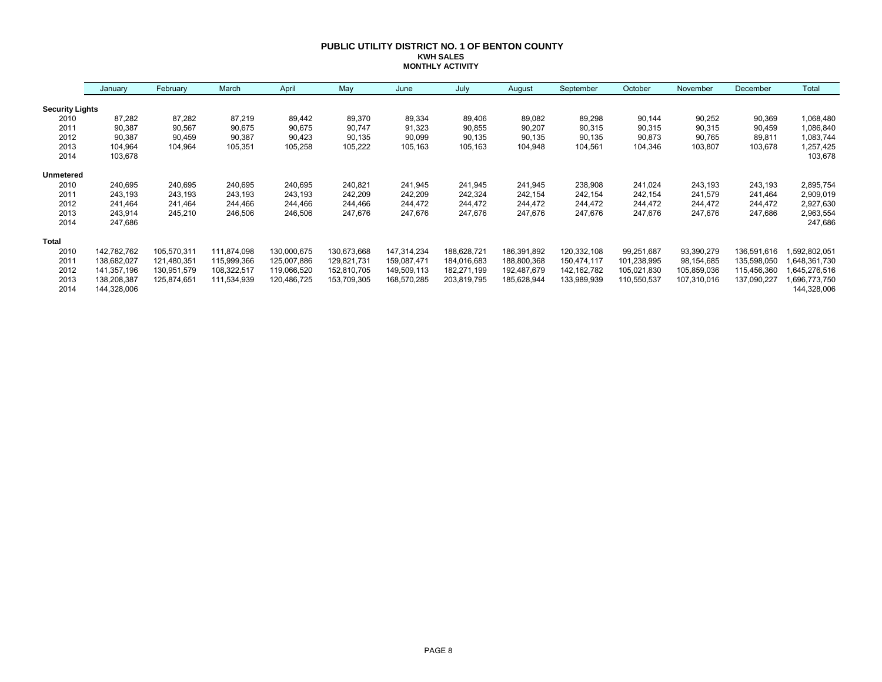## **PUBLIC UTILITY DISTRICT NO. 1 OF BENTON COUNTY KWH SALES MONTHLY ACTIVITY**

|                        | January     | February    | March       | April       | May         | June        | July        | August      | September     | October     | November    | December    | Total        |
|------------------------|-------------|-------------|-------------|-------------|-------------|-------------|-------------|-------------|---------------|-------------|-------------|-------------|--------------|
| <b>Security Lights</b> |             |             |             |             |             |             |             |             |               |             |             |             |              |
| 2010                   | 87,282      | 87,282      | 87,219      | 89,442      | 89,370      | 89,334      | 89,406      | 89,082      | 89,298        | 90,144      | 90,252      | 90,369      | 1,068,480    |
| 2011                   | 90,387      | 90,567      | 90,675      | 90,675      | 90,747      | 91,323      | 90,855      | 90,207      | 90,315        | 90,315      | 90,315      | 90,459      | 1,086,840    |
| 2012                   | 90,387      | 90,459      | 90,387      | 90,423      | 90,135      | 90,099      | 90,135      | 90,135      | 90,135        | 90,873      | 90,765      | 89,811      | 1,083,744    |
| 2013                   | 104,964     | 104,964     | 105,351     | 105,258     | 105,222     | 105,163     | 105,163     | 104,948     | 104,561       | 104,346     | 103,807     | 103,678     | 1,257,425    |
| 2014                   | 103,678     |             |             |             |             |             |             |             |               |             |             |             | 103,678      |
| <b>Unmetered</b>       |             |             |             |             |             |             |             |             |               |             |             |             |              |
| 2010                   | 240,695     | 240,695     | 240,695     | 240,695     | 240,821     | 241,945     | 241,945     | 241,945     | 238,908       | 241,024     | 243,193     | 243,193     | 2,895,754    |
| 2011                   | 243,193     | 243,193     | 243,193     | 243,193     | 242,209     | 242,209     | 242,324     | 242,154     | 242,154       | 242,154     | 241,579     | 241,464     | 2,909,019    |
| 2012                   | 241,464     | 241,464     | 244,466     | 244,466     | 244,466     | 244,472     | 244,472     | 244,472     | 244,472       | 244,472     | 244,472     | 244,472     | 2,927,630    |
| 2013                   | 243,914     | 245,210     | 246,506     | 246,506     | 247,676     | 247,676     | 247,676     | 247,676     | 247,676       | 247,676     | 247,676     | 247,686     | 2,963,554    |
| 2014                   | 247,686     |             |             |             |             |             |             |             |               |             |             |             | 247,686      |
| <b>Total</b>           |             |             |             |             |             |             |             |             |               |             |             |             |              |
| 2010                   | 142,782,762 | 105,570,311 | 111,874,098 | 130,000,675 | 130,673,668 | 147,314,234 | 188,628,721 | 186,391,892 | 120,332,108   | 99,251,687  | 93,390,279  | 136,591,616 | ,592,802,051 |
| 2011                   | 138,682,027 | 121,480,351 | 115,999,366 | 125,007,886 | 129,821,731 | 159,087,471 | 184,016,683 | 188,800,368 | 150,474,117   | 101,238,995 | 98,154,685  | 135,598,050 | ,648,361,730 |
| 2012                   | 141,357,196 | 130,951,579 | 108,322,517 | 119,066,520 | 152,810,705 | 149,509,113 | 182,271,199 | 192,487,679 | 142, 162, 782 | 105,021,830 | 105,859,036 | 115,456,360 | 645,276,516  |
| 2013                   | 138,208,387 | 125,874,651 | 111,534,939 | 120,486,725 | 153,709,305 | 168,570,285 | 203,819,795 | 185,628,944 | 133,989,939   | 110,550,537 | 107,310,016 | 137,090,227 | 696,773,750  |
| 2014                   | 144,328,006 |             |             |             |             |             |             |             |               |             |             |             | 144,328,006  |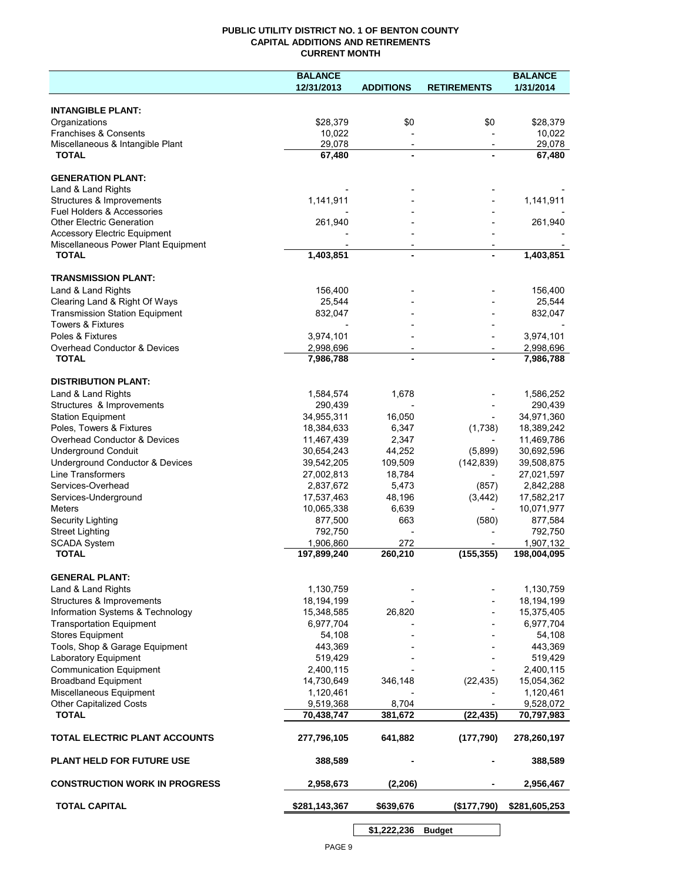## **PUBLIC UTILITY DISTRICT NO. 1 OF BENTON COUNTY CAPITAL ADDITIONS AND RETIREMENTS CURRENT MONTH**

|                                                | <b>BALANCE</b> |                          |                          | <b>BALANCE</b> |
|------------------------------------------------|----------------|--------------------------|--------------------------|----------------|
|                                                | 12/31/2013     | <b>ADDITIONS</b>         | <b>RETIREMENTS</b>       | 1/31/2014      |
| <b>INTANGIBLE PLANT:</b>                       |                |                          |                          |                |
| Organizations                                  | \$28,379       | \$0                      | \$0                      | \$28,379       |
| Franchises & Consents                          | 10,022         |                          |                          | 10,022         |
| Miscellaneous & Intangible Plant               | 29,078         | $\overline{\phantom{a}}$ | $\overline{\phantom{a}}$ | 29,078         |
| <b>TOTAL</b>                                   | 67,480         | $\blacksquare$           |                          | 67,480         |
|                                                |                |                          |                          |                |
| <b>GENERATION PLANT:</b><br>Land & Land Rights |                |                          |                          |                |
| Structures & Improvements                      | 1,141,911      |                          |                          | 1,141,911      |
| <b>Fuel Holders &amp; Accessories</b>          |                |                          |                          |                |
| <b>Other Electric Generation</b>               | 261,940        |                          |                          | 261,940        |
| <b>Accessory Electric Equipment</b>            |                |                          |                          |                |
| Miscellaneous Power Plant Equipment            |                | $\overline{\phantom{a}}$ |                          |                |
| <b>TOTAL</b>                                   | 1,403,851      | $\blacksquare$           |                          | 1,403,851      |
| <b>TRANSMISSION PLANT:</b>                     |                |                          |                          |                |
| Land & Land Rights                             | 156,400        |                          |                          | 156,400        |
| Clearing Land & Right Of Ways                  | 25,544         |                          |                          | 25,544         |
| <b>Transmission Station Equipment</b>          | 832,047        |                          |                          | 832,047        |
| <b>Towers &amp; Fixtures</b>                   |                |                          |                          |                |
| Poles & Fixtures                               | 3,974,101      |                          |                          | 3,974,101      |
| <b>Overhead Conductor &amp; Devices</b>        | 2,998,696      |                          |                          | 2,998,696      |
| <b>TOTAL</b>                                   | 7,986,788      |                          |                          | 7,986,788      |
| <b>DISTRIBUTION PLANT:</b>                     |                |                          |                          |                |
| Land & Land Rights                             | 1,584,574      | 1,678                    |                          | 1,586,252      |
| Structures & Improvements                      | 290,439        |                          |                          | 290,439        |
| <b>Station Equipment</b>                       | 34,955,311     | 16,050                   |                          | 34,971,360     |
| Poles, Towers & Fixtures                       | 18,384,633     | 6,347                    | (1,738)                  | 18,389,242     |
| Overhead Conductor & Devices                   | 11,467,439     | 2,347                    |                          | 11,469,786     |
| <b>Underground Conduit</b>                     | 30,654,243     | 44,252                   | (5,899)                  | 30,692,596     |
| Underground Conductor & Devices                | 39,542,205     | 109,509                  | (142, 839)               | 39,508,875     |
| <b>Line Transformers</b>                       | 27,002,813     | 18,784                   |                          | 27,021,597     |
| Services-Overhead                              | 2,837,672      | 5,473                    | (857)                    | 2,842,288      |
| Services-Underground                           | 17,537,463     | 48,196                   | (3, 442)                 | 17,582,217     |
| <b>Meters</b>                                  | 10,065,338     | 6,639                    | $\overline{\phantom{a}}$ | 10,071,977     |
| Security Lighting                              | 877,500        | 663                      | (580)                    | 877,584        |
| <b>Street Lighting</b>                         | 792,750        |                          |                          | 792,750        |
| <b>SCADA System</b>                            | 1,906,860      | 272                      |                          | 1,907,132      |
| <b>TOTAL</b>                                   | 197,899,240    | 260,210                  | (155, 355)               | 198,004,095    |
| <b>GENERAL PLANT:</b>                          |                |                          |                          |                |
| Land & Land Rights                             | 1,130,759      |                          |                          | 1,130,759      |
| Structures & Improvements                      | 18,194,199     |                          |                          | 18,194,199     |
| Information Systems & Technology               | 15,348,585     | 26,820                   |                          | 15,375,405     |
| <b>Transportation Equipment</b>                | 6,977,704      |                          |                          | 6,977,704      |
| <b>Stores Equipment</b>                        | 54,108         |                          |                          | 54,108         |
| Tools, Shop & Garage Equipment                 | 443,369        |                          |                          | 443,369        |
| Laboratory Equipment                           | 519,429        |                          |                          | 519,429        |
| <b>Communication Equipment</b>                 | 2,400,115      |                          |                          | 2,400,115      |
| <b>Broadband Equipment</b>                     | 14,730,649     | 346,148                  | (22, 435)                | 15,054,362     |
| Miscellaneous Equipment                        | 1,120,461      |                          |                          | 1,120,461      |
| <b>Other Capitalized Costs</b>                 | 9,519,368      | 8,704                    |                          | 9,528,072      |
| <b>TOTAL</b>                                   | 70,438,747     | 381,672                  | (22, 435)                | 70,797,983     |
| TOTAL ELECTRIC PLANT ACCOUNTS                  | 277,796,105    | 641,882                  | (177, 790)               | 278,260,197    |
| <b>PLANT HELD FOR FUTURE USE</b>               | 388,589        |                          |                          | 388,589        |
| <b>CONSTRUCTION WORK IN PROGRESS</b>           | 2,958,673      | (2, 206)                 |                          | 2,956,467      |
| <b>TOTAL CAPITAL</b>                           | \$281,143,367  | \$639,676                | (\$177,790)              | \$281,605,253  |
|                                                |                |                          |                          |                |

**\$1,222,236 Budget**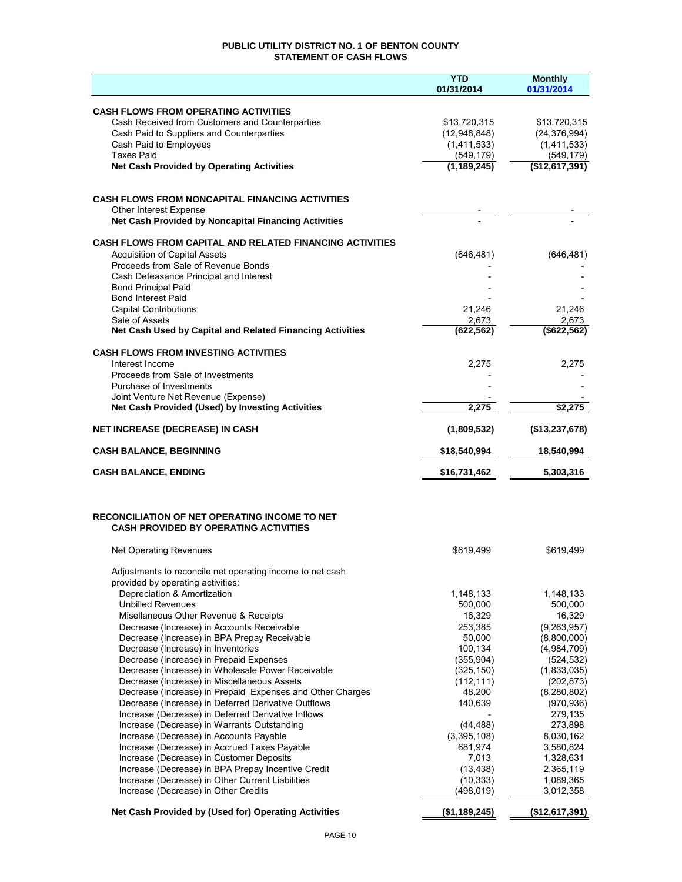## **PUBLIC UTILITY DISTRICT NO. 1 OF BENTON COUNTY STATEMENT OF CASH FLOWS**

|                                                                                              | <b>YTD</b><br>01/31/2014     | <b>Monthly</b><br>01/31/2014   |
|----------------------------------------------------------------------------------------------|------------------------------|--------------------------------|
|                                                                                              |                              |                                |
| <b>CASH FLOWS FROM OPERATING ACTIVITIES</b>                                                  |                              |                                |
| Cash Received from Customers and Counterparties<br>Cash Paid to Suppliers and Counterparties | \$13,720,315<br>(12,948,848) | \$13,720,315<br>(24, 376, 994) |
| Cash Paid to Employees                                                                       | (1,411,533)                  | (1,411,533)                    |
| <b>Taxes Paid</b>                                                                            | (549, 179)                   | (549, 179)                     |
| <b>Net Cash Provided by Operating Activities</b>                                             | (1, 189, 245)                | (\$12,617,391)                 |
|                                                                                              |                              |                                |
| <b>CASH FLOWS FROM NONCAPITAL FINANCING ACTIVITIES</b>                                       |                              |                                |
| Other Interest Expense                                                                       |                              |                                |
| Net Cash Provided by Noncapital Financing Activities                                         |                              |                                |
| <b>CASH FLOWS FROM CAPITAL AND RELATED FINANCING ACTIVITIES</b>                              |                              |                                |
| <b>Acquisition of Capital Assets</b>                                                         | (646, 481)                   | (646, 481)                     |
| Proceeds from Sale of Revenue Bonds                                                          |                              |                                |
| Cash Defeasance Principal and Interest                                                       |                              |                                |
| <b>Bond Principal Paid</b><br><b>Bond Interest Paid</b>                                      |                              |                                |
| <b>Capital Contributions</b>                                                                 | 21,246                       | 21,246                         |
| Sale of Assets                                                                               | 2,673                        | 2,673                          |
| Net Cash Used by Capital and Related Financing Activities                                    | (622, 562)                   | (\$622,562)                    |
| <b>CASH FLOWS FROM INVESTING ACTIVITIES</b>                                                  |                              |                                |
| Interest Income                                                                              | 2,275                        | 2,275                          |
| Proceeds from Sale of Investments                                                            |                              |                                |
| Purchase of Investments                                                                      |                              |                                |
| Joint Venture Net Revenue (Expense)                                                          |                              |                                |
| Net Cash Provided (Used) by Investing Activities                                             | 2,275                        | \$2,275                        |
| <b>NET INCREASE (DECREASE) IN CASH</b>                                                       | (1,809,532)                  | (\$13,237,678)                 |
| <b>CASH BALANCE, BEGINNING</b>                                                               | \$18,540,994                 | 18,540,994                     |
| <b>CASH BALANCE, ENDING</b>                                                                  | \$16,731,462                 | 5,303,316                      |
|                                                                                              |                              |                                |
| RECONCILIATION OF NET OPERATING INCOME TO NET                                                |                              |                                |
| <b>CASH PROVIDED BY OPERATING ACTIVITIES</b>                                                 |                              |                                |
| <b>Net Operating Revenues</b>                                                                | \$619,499                    | \$619,499                      |
| Adjustments to reconcile net operating income to net cash                                    |                              |                                |
| provided by operating activities:                                                            |                              |                                |
| Depreciation & Amortization                                                                  | 1,148,133                    | 1,148,133                      |
| <b>Unbilled Revenues</b>                                                                     | 500,000                      | 500,000                        |
| Misellaneous Other Revenue & Receipts                                                        | 16,329                       | 16,329                         |
| Decrease (Increase) in Accounts Receivable<br>Decrease (Increase) in BPA Prepay Receivable   | 253,385<br>50,000            | (9, 263, 957)<br>(8,800,000)   |
| Decrease (Increase) in Inventories                                                           | 100,134                      | (4,984,709)                    |
| Decrease (Increase) in Prepaid Expenses                                                      | (355, 904)                   | (524, 532)                     |
| Decrease (Increase) in Wholesale Power Receivable                                            | (325, 150)                   | (1,833,035)                    |
| Decrease (Increase) in Miscellaneous Assets                                                  | (112, 111)                   | (202, 873)                     |
| Decrease (Increase) in Prepaid Expenses and Other Charges                                    | 48,200                       | (8, 280, 802)                  |
| Decrease (Increase) in Deferred Derivative Outflows                                          | 140,639                      | (970, 936)                     |
| Increase (Decrease) in Deferred Derivative Inflows                                           |                              | 279,135                        |
| Increase (Decrease) in Warrants Outstanding                                                  | (44, 488)                    | 273,898                        |
| Increase (Decrease) in Accounts Payable                                                      | (3,395,108)                  | 8,030,162                      |
| Increase (Decrease) in Accrued Taxes Payable                                                 | 681,974                      | 3,580,824                      |
| Increase (Decrease) in Customer Deposits                                                     | 7,013                        | 1,328,631                      |
| Increase (Decrease) in BPA Prepay Incentive Credit                                           | (13, 438)                    | 2,365,119                      |
| Increase (Decrease) in Other Current Liabilities                                             | (10, 333)                    | 1,089,365                      |
| Increase (Decrease) in Other Credits                                                         | (498, 019)                   | 3,012,358                      |
| Net Cash Provided by (Used for) Operating Activities                                         | (\$1,189,245)                | (\$12,617,391)                 |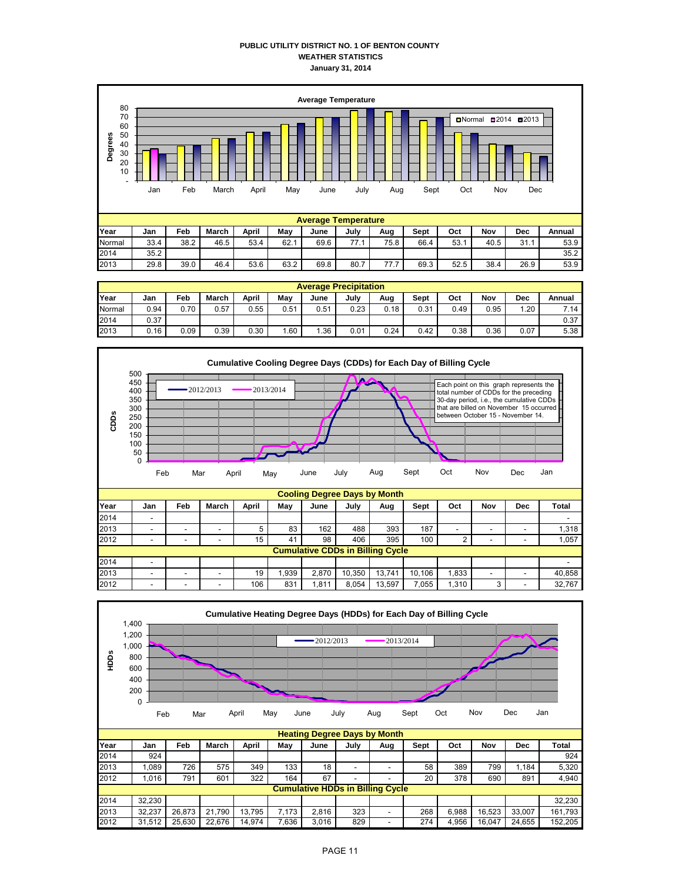## **PUBLIC UTILITY DISTRICT NO. 1 OF BENTON COUNTY WEATHER STATISTICS January 31, 2014**



|        | <b>Average Precipitation</b> |      |       |       |      |      |      |      |      |      |      |      |        |
|--------|------------------------------|------|-------|-------|------|------|------|------|------|------|------|------|--------|
| Year   | Jan                          | Feb  | March | April | Mav  | June | July | Aug  | Sept | Oct  | Nov  | Dec  | Annual |
| Normal | 0.94                         | 0.70 | 0.57  | 0.55  | 0.51 | 0.51 | 0.23 | 0.18 | 0.31 | 0.49 | 0.95 | 1.20 | 7.14   |
| 2014   | 0.37                         |      |       |       |      |      |      |      |      |      |      |      | 0.37   |
| 2013   | 0.16                         | 0.09 | 0.39  | 0.30  | .60  | .36  | 0.01 | 0.24 | 0.42 | 0.38 | 0.36 | 0.07 | 5.38   |

2013 | 29.8 | 39.0 | 46.4 | 53.6 | 63.2 | 69.8 | 80.7 | 77.7 | 69.3 | 52.5 | 38.4 | 26.9 | 53.9



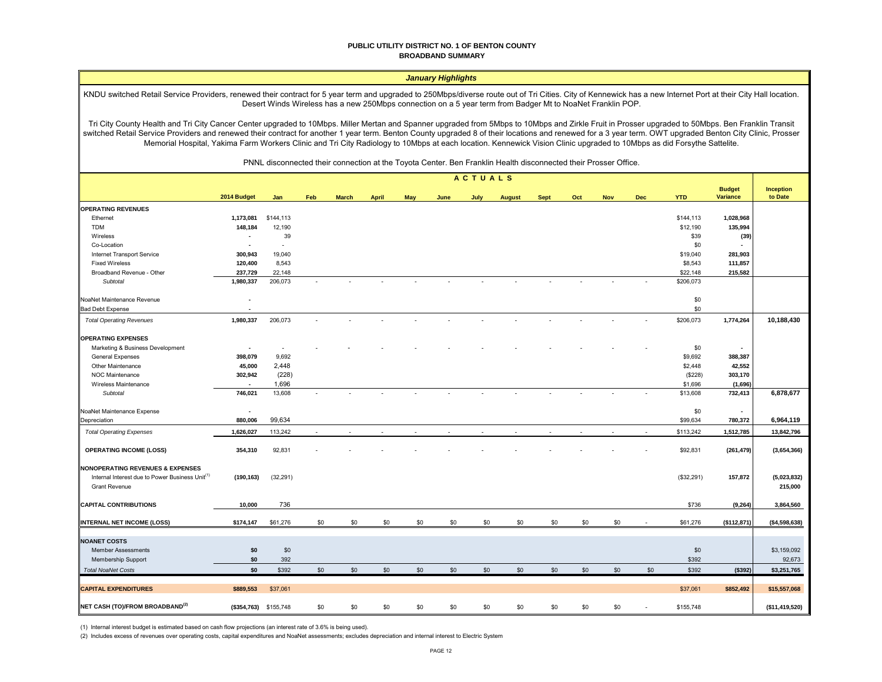#### **PUBLIC UTILITY DISTRICT NO. 1 OF BENTON COUNTY BROADBAND SUMMARY**

## *January Highlights*

KNDU switched Retail Service Providers, renewed their contract for 5 year term and upgraded to 250Mbps/diverse route out of Tri Cities. City of Kennewick has a new Internet Port at their City Hall location. Desert Winds Wireless has a new 250Mbps connection on a 5 year term from Badger Mt to NoaNet Franklin POP.

Tri City County Health and Tri City Cancer Center upgraded to 10Mbps. Miller Mertan and Spanner upgraded from 5Mbps to 10Mbps and Zirkle Fruit in Prosser upgraded to 50Mbps. Ben Franklin Transit switched Retail Service Providers and renewed their contract for another 1 year term. Benton County upgraded 8 of their locations and renewed for a 3 year term. OWT upgraded Benton City Clinic, Prosser Memorial Hospital, Yakima Farm Workers Clinic and Tri City Radiology to 10Mbps at each location. Kennewick Vision Clinic upgraded to 10Mbps as did Forsythe Sattelite.

PNNL disconnected their connection at the Toyota Center. Ben Franklin Health disconnected their Prosser Office.

|                                                                                                                                    | ACTUALS                  |                       |        |              |              |            |      |      |               |             |     |            |            |            |                                  |                        |
|------------------------------------------------------------------------------------------------------------------------------------|--------------------------|-----------------------|--------|--------------|--------------|------------|------|------|---------------|-------------|-----|------------|------------|------------|----------------------------------|------------------------|
|                                                                                                                                    | 2014 Budget              | Jan                   | Feb    | <b>March</b> | <b>April</b> | <b>May</b> | June | July | <b>August</b> | <b>Sept</b> | Oct | <b>Nov</b> | <b>Dec</b> | <b>YTD</b> | <b>Budget</b><br><b>Variance</b> | Inception<br>to Date   |
| <b>OPERATING REVENUES</b>                                                                                                          |                          |                       |        |              |              |            |      |      |               |             |     |            |            |            |                                  |                        |
| Ethernet                                                                                                                           | 1,173,081                | \$144,113             |        |              |              |            |      |      |               |             |     |            |            | \$144,113  | 1,028,968                        |                        |
| <b>TDM</b>                                                                                                                         | 148,184                  | 12,190                |        |              |              |            |      |      |               |             |     |            |            | \$12,190   | 135,994                          |                        |
| Wireless                                                                                                                           | $\blacksquare$           | 39                    |        |              |              |            |      |      |               |             |     |            |            | \$39       | (39)                             |                        |
| Co-Location                                                                                                                        | $\blacksquare$           | $\sim$                |        |              |              |            |      |      |               |             |     |            |            | \$0        |                                  |                        |
| Internet Transport Service                                                                                                         | 300,943                  | 19,040                |        |              |              |            |      |      |               |             |     |            |            | \$19,040   | 281,903                          |                        |
| <b>Fixed Wireless</b>                                                                                                              | 120,400                  | 8,543                 |        |              |              |            |      |      |               |             |     |            |            | \$8,543    | 111,857                          |                        |
| Broadband Revenue - Other                                                                                                          | 237,729                  | 22,148                |        |              |              |            |      |      |               |             |     |            |            | \$22,148   | 215,582                          |                        |
| Subtotal                                                                                                                           | 1,980,337                | 206,073               | $\sim$ |              |              |            |      |      |               |             |     |            |            | \$206,073  |                                  |                        |
| NoaNet Maintenance Revenue                                                                                                         | $\blacksquare$           |                       |        |              |              |            |      |      |               |             |     |            |            | \$0        |                                  |                        |
| <b>Bad Debt Expense</b>                                                                                                            |                          |                       |        |              |              |            |      |      |               |             |     |            |            | \$0        |                                  |                        |
| <b>Total Operating Revenues</b>                                                                                                    | 1,980,337                | 206,073               |        |              |              |            |      |      |               |             |     |            |            | \$206,073  | 1,774,264                        | 10,188,430             |
| <b>OPERATING EXPENSES</b>                                                                                                          |                          |                       |        |              |              |            |      |      |               |             |     |            |            |            |                                  |                        |
| Marketing & Business Development                                                                                                   | $\blacksquare$           |                       |        |              |              |            |      |      |               |             |     |            |            | \$0        |                                  |                        |
| <b>General Expenses</b>                                                                                                            | 398,079                  | 9,692                 |        |              |              |            |      |      |               |             |     |            |            | \$9,692    | 388,387                          |                        |
| Other Maintenance                                                                                                                  | 45,000                   | 2,448                 |        |              |              |            |      |      |               |             |     |            |            | \$2,448    | 42,552                           |                        |
| NOC Maintenance                                                                                                                    | 302,942                  | (228)                 |        |              |              |            |      |      |               |             |     |            |            | (\$228)    | 303,170                          |                        |
| Wireless Maintenance                                                                                                               | $\overline{a}$           | 1,696                 |        |              |              |            |      |      |               |             |     |            |            | \$1,696    | (1,696)                          |                        |
| Subtotal                                                                                                                           | 746,021                  | 13,608                |        |              |              |            |      |      |               |             |     |            |            | \$13,608   | 732,413                          | 6,878,677              |
| NoaNet Maintenance Expense                                                                                                         | $\overline{\phantom{a}}$ |                       |        |              |              |            |      |      |               |             |     |            |            | \$0        | $\blacksquare$                   |                        |
| Depreciation                                                                                                                       | 880,006                  | 99,634                |        |              |              |            |      |      |               |             |     |            |            | \$99,634   | 780,372                          | 6,964,119              |
| <b>Total Operating Expenses</b>                                                                                                    | 1,626,027                | 113,242               |        |              |              |            |      |      |               |             |     |            |            | \$113,242  | 1,512,785                        | 13,842,796             |
| <b>OPERATING INCOME (LOSS)</b>                                                                                                     | 354,310                  | 92,831                |        |              |              |            |      |      |               |             |     |            |            | \$92,831   | (261, 479)                       | (3,654,366)            |
| <b>NONOPERATING REVENUES &amp; EXPENSES</b><br>Internal Interest due to Power Business Unit <sup>(1)</sup><br><b>Grant Revenue</b> | (190, 163)               | (32, 291)             |        |              |              |            |      |      |               |             |     |            |            | (\$32,291) | 157,872                          | (5,023,832)<br>215,000 |
| <b>CAPITAL CONTRIBUTIONS</b>                                                                                                       | 10,000                   | 736                   |        |              |              |            |      |      |               |             |     |            |            | \$736      | (9, 264)                         | 3,864,560              |
| INTERNAL NET INCOME (LOSS)                                                                                                         | \$174,147                | \$61,276              | \$0    | \$0          | \$0          | \$0        | \$0  | \$0  | \$0           | \$0         | \$0 | \$0        |            | \$61,276   | (\$112,871)                      | ( \$4,598,638)         |
| <b>NOANET COSTS</b>                                                                                                                |                          |                       |        |              |              |            |      |      |               |             |     |            |            |            |                                  |                        |
| <b>Member Assessments</b>                                                                                                          | \$0                      | \$0                   |        |              |              |            |      |      |               |             |     |            |            | \$0        |                                  | \$3,159,092            |
| Membership Support                                                                                                                 | \$0                      | 392                   |        |              |              |            |      |      |               |             |     |            |            | \$392      |                                  | 92,673                 |
|                                                                                                                                    |                          |                       |        |              |              |            |      |      |               |             |     |            |            |            |                                  |                        |
| <b>Total NoaNet Costs</b>                                                                                                          | \$0                      | \$392                 | \$0    | \$0          | \$0          | \$0        | \$0  | \$0  | \$0           | \$0         | \$0 | \$0        | \$0        | \$392      | (\$392)                          | \$3,251,765            |
| <b>CAPITAL EXPENDITURES</b>                                                                                                        | \$889,553                | \$37,061              |        |              |              |            |      |      |               |             |     |            |            | \$37,061   | \$852,492                        | \$15,557,068           |
| NET CASH (TO)/FROM BROADBAND <sup>(2)</sup>                                                                                        |                          | (\$354,763) \$155,748 | \$0    | \$0          | \$0          | \$0        | \$0  | \$0  | \$0           | \$0         | \$0 | \$0        |            | \$155,748  |                                  | (\$11,419,520)         |

(1) Internal interest budget is estimated based on cash flow projections (an interest rate of 3.6% is being used).

(2) Includes excess of revenues over operating costs, capital expenditures and NoaNet assessments; excludes depreciation and internal interest to Electric System